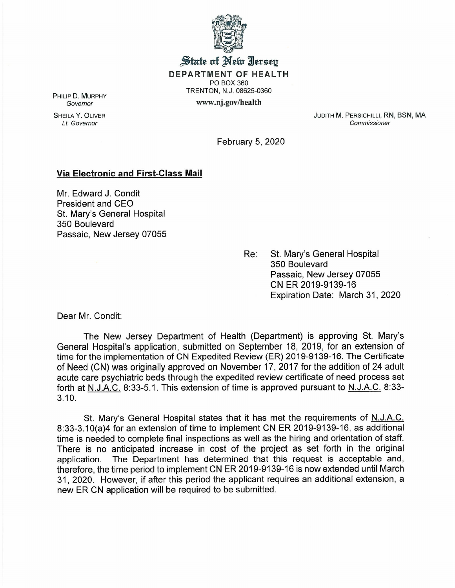

State of New Jersey DEPARTMENT OF HEALTH PO BOX 360 TRENTON, N.J. 08625-0360 www.nj.gov/health

PHILIP D. MURPHY *Governor*

SHEILA Y. OLIVER *Lt. Governor*

JUDITH M. PERSICHILLI, RN, BSN, MA *Commissioner*

February 5, 2020

## Via Electronic and First-Class Mail

Mr. Edward J. Condit President and CEO St. Mary's General Hospital 350 Boulevard Passaic, New Jersey 07055

> Re: St. Mary's General Hospital 350 Boulevard Passaic, New Jersey 07055 CN ER 2019-9139-16 Expiration Date: March 31, 2020

Dear Mr. Condit:

 $\mathcal{L}_{\mathcal{L}}$ 

The New Jersey Department of Health (Department) is approving St. Mary's General Hospital's application, submitted on September 18, 2019, for an extension of time for the implementation of CN Expedited Review (ER) 2019-9139-16. The Certificate of Need (CN) was originally approved on November 17, 2017 for the addition of 24 adult acute care psychiatric beds through the expedited review certificate of need process set forth at N.J.A.C. 8:33-5.1. This extension of time is approved pursuant to N.J.A.C. 8:33- 3.10.

St. Mary's General Hospital states that it has met the requirements of N.J.A.C. 8:33-3.10(a)4 for an extension of time to implement CN ER 2019-9139-16, as additional time is needed to complete final inspections as well as the hiring and orientation of staff. There is no anticipated increase in cost of the project as set forth in the original application. The Department has determined that this request is acceptable and, therefore, the time period to implement CN ER 2019-9139-16 is now extended until March 31, 2020. However, if after this period the applicant requires an additional extension, a new ER CN application will be required to be submitted.